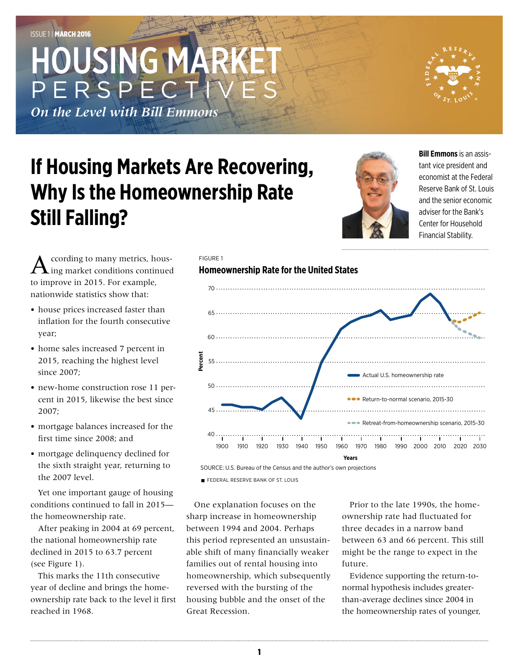# HOUSING MARK PERSPEC

*On the Level with Bill Emmons*

## **If Housing Markets Are Recovering, Why Is the Homeownership Rate Still Falling?**



**Bill Emmons** is an assistant vice president and economist at the Federal Reserve Bank of St. Louis and the senior economic adviser for the Bank's Center for Household Financial Stability.

 ${\bf A}$  ccording to many metrics, hous-<br>ing market conditions continued to improve in 2015. For example, nationwide statistics show that:

- house prices increased faster than inflation for the fourth consecutive year;
- home sales increased 7 percent in 2015, reaching the highest level since 2007;
- new-home construction rose 11 percent in 2015, likewise the best since 2007;
- mortgage balances increased for the first time since 2008; and
- mortgage delinquency declined for the sixth straight year, returning to the 2007 level.

Yet one important gauge of housing conditions continued to fall in 2015 the homeownership rate.

After peaking in 2004 at 69 percent, the national homeownership rate declined in 2015 to 63.7 percent (see Figure 1).

This marks the 11th consecutive year of decline and brings the homeownership rate back to the level it first reached in 1968.

#### 70 65............................. 60................. **Percent**  $55...$ Actual U.S. homeownership rate 50 **Return-to-normal scenario, 2015-30** 45 **Retreat-from-homeownership scenario, 2015-30** 40 . . . . . . . . . . . . .

1900 1910 1920 1930 1940 1950 1960 1970 1980 1990 2000 2010 2020 2030

SOURCE: U.S. Bureau of the Census and the author's own projections **Years**

FEDERAL RESERVE BANK OF ST. LOUIS

One explanation focuses on the sharp increase in homeownership between 1994 and 2004. Perhaps this period represented an unsustainable shift of many financially weaker families out of rental housing into homeownership, which subsequently reversed with the bursting of the housing bubble and the onset of the Great Recession.

Prior to the late 1990s, the homeownership rate had fluctuated for three decades in a narrow band between 63 and 66 percent. This still might be the range to expect in the future.

Evidence supporting the return-tonormal hypothesis includes greaterthan-average declines since 2004 in the homeownership rates of younger,

#### **Homeownership Rate for the United States** FIGURE 1